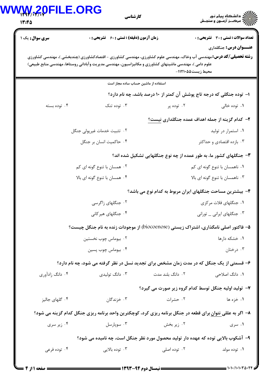## **WWW.20FILE.ORG**

| 17:40                  | E.URU<br>كارشناسي                                                                                                                                                               |                                                                      |                                                                               |
|------------------------|---------------------------------------------------------------------------------------------------------------------------------------------------------------------------------|----------------------------------------------------------------------|-------------------------------------------------------------------------------|
| <b>سری سوال :</b> یک ۱ | <b>زمان آزمون (دقیقه) : تستی : 60 ٪ تشریحی : 0</b><br><b>رشته تحصیلی/کد درس:</b> مهندسی آب وخاک، مهندسی علوم کشاورزی، مهندسی کشاورزی - اقتصادکشاورزی (چندبخشی )، مهندسی کشاورزی |                                                                      | <b>تعداد سوالات : تستی : 30 ٪ تشریحی : 0</b><br><b>عنـــوان درس:</b> جنگلداري |
|                        | علوم دامی )، مهندسی ماشینهای کشاورزی و مکانیزاسیون، مهندسی مدیریت وآبادانی روستاها، مهندسی منابع طبیعی)                                                                         | محيط زيست401110-                                                     |                                                                               |
|                        | استفاده از ماشین حساب ساده مجاز است                                                                                                                                             |                                                                      |                                                                               |
|                        |                                                                                                                                                                                 | ۱– توده جنگلی که درجه تاج پوشش آن کمتر از ۱۰ درصد باشد، چه نام دارد؟ |                                                                               |
| ۰۴ توده بسته           | ۰۳ توده تنک                                                                                                                                                                     | ۰۲ توده پر                                                           | ۰۱ توده خالی                                                                  |
|                        |                                                                                                                                                                                 |                                                                      | ۲- کدام گزینه از جمله اهداف عمده جنگلداری نیست؟                               |
|                        | ٢. تثبيت خدمات غيرپولي جنگل                                                                                                                                                     |                                                                      | ۰۱ استمرار در تولید                                                           |
|                        | ۰۴ حاكميت انسان بر جنگل                                                                                                                                                         |                                                                      | ۰۳ بازده اقتصادی و حداکثر                                                     |
|                        |                                                                                                                                                                                 | ۳- جنگلهای کشور ما، به طور عمده از چه نوع جنگلهایی تشکیل شده اند؟    |                                                                               |
|                        | ۰۲ همسان با تنوع گونه ای کم                                                                                                                                                     |                                                                      | ۰۱ ناهمسان با تنوع گونه ای کم                                                 |
|                        | ۰۴ همسان با تنوع گونه ای بالا                                                                                                                                                   |                                                                      | ۰۳ ناهمسان با تنوع گونه ای بالا                                               |
|                        |                                                                                                                                                                                 | ۴– بیشترین مساحت جنگلهای ایران مربوط به کدام نوع می باشد؟            |                                                                               |
|                        | ۰۲ جنگلهای زاگرسی                                                                                                                                                               |                                                                      | ۰۱ جنگلهای فلات مرکزی                                                         |
|                        | ۰۴ جنگلهای هیرکان <sub>ی</sub>                                                                                                                                                  |                                                                      | ۰۳ جنگلهای ایرانی _ تورانی                                                    |
|                        | <b>۵- فاکتور اصلی نامگذاری، اشتراک زیستی (biocoenose) از موجودات زنده به نام جنگل چیست؟</b>                                                                                     |                                                                      |                                                                               |
|                        | ۰۲ بيوماس چوب نخستين                                                                                                                                                            |                                                                      | ۰۱ خشکه دارها                                                                 |
|                        | ۰۴ بیوماس چوب پسین                                                                                                                                                              |                                                                      | ۰۳ درختان                                                                     |
|                        | ۶- قسمتی از یک جنگل که در مدت زمان مشخص برای تجدید نسل در نظر گرفته می شود، چه نام دارد؟                                                                                        |                                                                      |                                                                               |
| ۰۴ دانگ زادآوری        | ۰۳ دانگ تولیدی                                                                                                                                                                  | ۰۲ دانگ بلند مدت                                                     | ۰۱ دانگ اصلاحی                                                                |
|                        |                                                                                                                                                                                 | ۷- تولید اولیه جنگل توسط کدام گروه زیر صورت می گیرد؟                 |                                                                               |

۰**۱** خزه ها استان ۲۰ حشرات

۸– اگر به عللی نتوان برای قطعه در جنگل برنامه ریزی کرد، کوچکترین واحد برنامه ریزی جنگل کدام گزینه می شود؟

۲ زیر بخش سوپارسل ۲۰ ۰۴ زیر سری ۰۱ سری

۹- آشکوب بالایی توده که عهده دار تولید محصول مورد نظر جنگل است، چه نامیده می شود؟

۰۴ توده فرعی ۰۳ توده بالايي. $\cdot$ ۰۲ توده اصلی ۰۱ توده مولد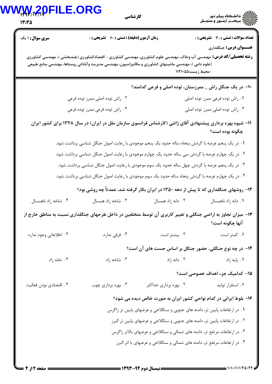| 13:45                   | <b>20FILE.ORG</b><br>كارشناسي                                                                                                                                                                                                        |                                                                            | ∕ ∭ی دانشڪاه پيام نور<br>∕ ∭ مرڪـز آزمــون و سنجـش |
|-------------------------|--------------------------------------------------------------------------------------------------------------------------------------------------------------------------------------------------------------------------------------|----------------------------------------------------------------------------|----------------------------------------------------|
| <b>سری سوال :</b> ۱ یک  | <b>زمان آزمون (دقیقه) : تستی : 60 ٪ تشریحی : 0</b>                                                                                                                                                                                   |                                                                            | <b>تعداد سوالات : تستی : 30 ٪ تشریحی : 0</b>       |
|                         | <b>رشته تحصیلی/کد درس:</b> مهندسی آب وخاک، مهندسی علوم کشاورزی، مهندسی کشاورزی - اقتصادکشاورزی (چندبخشی )، مهندسی کشاورزی<br>(علوم دامی )، مهندسی ماشینهای کشاورزی و مکانیزاسیون، مهندسی مدیریت وآبادانی روستاها، مهندسی منابع طبیعی | -محيط زيست451110                                                           | <b>عنـــوان درس:</b> جنگلداري                      |
|                         |                                                                                                                                                                                                                                      | ∙ا− در یک جنگل راش _ ممرزستان، توده اصلی و فرعی کدامند؟                    |                                                    |
|                         | ۰۲ راش توده اصلی ممرز توده فرعی                                                                                                                                                                                                      |                                                                            | ۰۱ راش توده فرعی ممرز توده اصلی                    |
|                         | ۰۴ راش توده فرعی ممرز توده فرعی                                                                                                                                                                                                      |                                                                            | ۰۳ راش توده اصلی ممرز توده اصلی                    |
|                         | ۱۱– شیوه بهره برداری پیشنهادی آقای ژانتی (کارشناس فرانسوی سازمان ملل در ایران) در سال ۱۳۲۸ برای کشور ایران                                                                                                                           |                                                                            | چگونه بوده است؟                                    |
|                         | ۰۱ در یک پنجم عرصه با گردش پنجاه ساله حدود یک پنجم موجودی با رعایت اصول جنگل شناسی برداشت شود.                                                                                                                                       |                                                                            |                                                    |
|                         | ۰۲ در یک چهارم عرصه با گردش سی ساله حدود یک چهارم موجودی با رعایت اصول جنگل شناسی برداشت شود.                                                                                                                                        |                                                                            |                                                    |
|                         | ۰۳ در یک پنجم عرصه با گردش چهل ساله حدود یک سوم موجودی با رعایت اصول جنگل شناسی برداشت شود.                                                                                                                                          |                                                                            |                                                    |
|                         | ۰۴ در یک چهارم عرصه با گردش پنجاه ساله حدود یک سوم موجودی با رعایت اصول جنگل شناسی برداشت شود.                                                                                                                                       |                                                                            |                                                    |
|                         | ۱۲- روشهای جنگلداری که تا پیش از دهه ۱۳۵۰ در ایران بکار گرفته شد، عمدتاً چه روشی بود؟                                                                                                                                                |                                                                            |                                                    |
| ۰۴ شاخه زاد ناهمسال     | ۰۳ شاخه زاد همسال                                                                                                                                                                                                                    | ۰۲ دانه زاد همسال                                                          | ٠١ دانه زاد ناهمسال                                |
|                         | ۱۳- میزان تجاوز به اراضی جنگلی و تغییر کاربری آن توسط متخلفین در داخل طرحهای جنگلداری نسبت به مناطق خارج از                                                                                                                          |                                                                            | آنها چگونه است؟                                    |
| ۰۴ اطلاعاتي وجود ندارد. | ۰۳ فرقی ندارد.                                                                                                                                                                                                                       | ۰۲ بیشتر است.                                                              | ۰۱ کمتر است.                                       |
|                         |                                                                                                                                                                                                                                      | ۱۴– در چه نوع جنگلی، حضور جنگل بر اساس جست های آن است؟                     |                                                    |
| ۰۴ خانه زاد             | ۰۳ شاخه زاد                                                                                                                                                                                                                          | ۰۲ دانه زاد                                                                | ۰۱ پایه زاد                                        |
|                         |                                                                                                                                                                                                                                      |                                                                            | 1۵– کدامیک جزء اهداف خصوصی است؟                    |
| ۰۴ اقتصادي بودن فعاليت  | ۰۳ بهره برداری چوب                                                                                                                                                                                                                   | ۰۲ بهره برداری حداکثر                                                      | ۰۱ استقرار تولید                                   |
|                         |                                                                                                                                                                                                                                      | ۱۶- بلوط ایرانی در کدام نواحی کشور ایران به صورت خالص دیده می شود؟         |                                                    |
|                         |                                                                                                                                                                                                                                      | ۰۱ در ارتفاعات پایین تر، دامنه های جنوبی و سنگلاخی و عرضهای پایین تر زاگرس |                                                    |
|                         |                                                                                                                                                                                                                                      | ۰۲ در ارتفاعات پایین تر، دامنه های جنوبی و سنگلاخی و عرضهای پایین تر البرز |                                                    |
|                         |                                                                                                                                                                                                                                      |                                                                            |                                                    |
|                         |                                                                                                                                                                                                                                      | ۰۳ در ارتفاعات مرتفع تر، دامنه های شمالی و سنگلاخی و عرضهای بالاتر زاگرس   |                                                    |

 $= 1.1.111.1.70.77$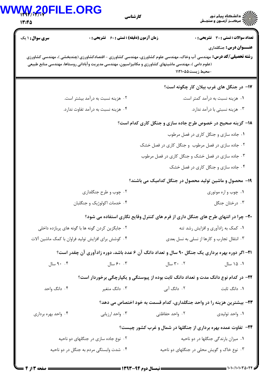## WWW.20FILE.ORG

| <b>MAM/-Y7-Y</b><br>3:45 | كارشناسي                                                                                                                                                                                                                                                                                   |                                                                        | ∕ اللای دانشکاه پیام نور<br>∕ الاس مرک—ز آزمــون و سنجـش                      |
|--------------------------|--------------------------------------------------------------------------------------------------------------------------------------------------------------------------------------------------------------------------------------------------------------------------------------------|------------------------------------------------------------------------|-------------------------------------------------------------------------------|
| <b>سری سوال : ۱ ی</b> ک  | <b>زمان آزمون (دقیقه) : تستی : 60 ٪ تشریحی : 0</b><br><b>رشته تحصیلی/کد درس:</b> مهندسی آب وخاک، مهندسی علوم کشاورزی، مهندسی کشاورزی - اقتصادکشاورزی (چندبخشی )، مهندسی کشاورزی<br>(علوم دامی )، مهندسی ماشینهای کشاورزی و مکانیزاسیون، مهندسی مدیریت وآبادانی روستاها، مهندسی منابع طبیعی | -محيط زيست401111                                                       | <b>تعداد سوالات : تستی : 30 ٪ تشریحی : 0</b><br><b>عنـــوان درس:</b> جنگلداري |
|                          |                                                                                                                                                                                                                                                                                            |                                                                        | ۱۷– در جنگل های غرب بیلان کار چگونه است؟                                      |
|                          | ۰۲ هزینه نسبت به درآمد بیشتر است.                                                                                                                                                                                                                                                          |                                                                        | ۰۱ هزینه نسبت به درآمد کمتر است.                                              |
|                          | ۰۴ هزینه نسبت به درآمد تفاوت ندارد.                                                                                                                                                                                                                                                        |                                                                        | ۰۳ هزینه نسبتی با درآمد ندارد.                                                |
|                          |                                                                                                                                                                                                                                                                                            | ۱۸- گزینه صحیح در خصوص طرح جاده سازی و جنگل کاری کدام است؟             |                                                                               |
|                          |                                                                                                                                                                                                                                                                                            |                                                                        | ۰۱ جاده سازی و جنگل کاری در فصل مرطوب                                         |
|                          |                                                                                                                                                                                                                                                                                            | ۰۲ جاده سازی در فصل مرطوب و جنگل کاری در فصل خشک                       |                                                                               |
|                          |                                                                                                                                                                                                                                                                                            | ۰۳ جاده سازی در فصل خشک و جنگل کاری در فصل مرطوب                       |                                                                               |
|                          |                                                                                                                                                                                                                                                                                            |                                                                        | ۰۴ جاده سازی و جنگل کاری در فصل خشک                                           |
|                          |                                                                                                                                                                                                                                                                                            | ۱۹- محصول و ماشین تولید محصول در جنگل کدامیک می باشند؟                 |                                                                               |
|                          | ۰۲ چوب و طرح جنگلداری                                                                                                                                                                                                                                                                      |                                                                        | ۰۱ چوب و اره موتوری                                                           |
|                          | ۰۴ خدمات اکولوژیک و جنگلبان                                                                                                                                                                                                                                                                |                                                                        | ۰۳ درختان جنگل                                                                |
|                          | ۲۰- چرا در انتهای طرح های جنگل داری از فرم های کنترل وقایع نگاری استفاده می شود؟                                                                                                                                                                                                           |                                                                        |                                                                               |
|                          | ۰۲ جایگزین کردن گونه ها با گونه های پربازده داخلی                                                                                                                                                                                                                                          |                                                                        | ۰۱ کمک به زادآوری و افزایش رشد تنه                                            |
|                          | ۰۴ کوشش برای افزایش تولید فراوان با کمک ماشین آلات                                                                                                                                                                                                                                         |                                                                        | ۰۳ انتقال تجارب و کارها از نسلی به نسل بعدی                                   |
|                          | <b>۲۱</b> – اگر دوره بهره برداری یک جنگل ۹۰ سال و تعداد دانگ آن ۶ عدد باشد، دوره زادآوری آن چقدر است؟                                                                                                                                                                                      |                                                                        |                                                                               |
| ۰.۴ سال                  | ۲۰۰۲ سال ۲۰۰۳ میال میشود. است است و تا است که است که است که است که است که است که است که است که است که است که ا                                                                                                                                                                             |                                                                        | ۰۱ ۱۵ سال                                                                     |
|                          | ۲۲– در کدام نوع دانگ مدت و تعداد دانگ ثابت بوده از پیوستگی و یکپارچگی برخوردار است؟                                                                                                                                                                                                        |                                                                        |                                                                               |
| ۰۴ دانگ واحد             | ۰۳ دانگ متغیر                                                                                                                                                                                                                                                                              | ۰۲ دانگ آبی                                                            | ۰۱ دانگ ثابت                                                                  |
|                          |                                                                                                                                                                                                                                                                                            | ۲۳- بیشترین هزینه را در واحد جنگلداری، کدام قسمت به خود اختصاص می دهد؟ |                                                                               |
| ۰۴ واحد بهره برداری      |                                                                                                                                                                                                                                                                                            |                                                                        |                                                                               |
|                          |                                                                                                                                                                                                                                                                                            | <b>۲۴</b> - تفاوت عمده بهره برداری از جنگلها در شمال و غرب کشور چیست؟  |                                                                               |
|                          | ۰۲ نوع جاده سازی در جنگلهای دو ناحیه                                                                                                                                                                                                                                                       |                                                                        | ۰۱ میزان بارندگی جنگلها در دو ناحیه                                           |
|                          | ۰۴ شدت وابستگی مردم به جنگل در دو ناحیه                                                                                                                                                                                                                                                    | ۰۳ نوع خاک و گویش محلی در جنگلهای دو ناحیه                             |                                                                               |